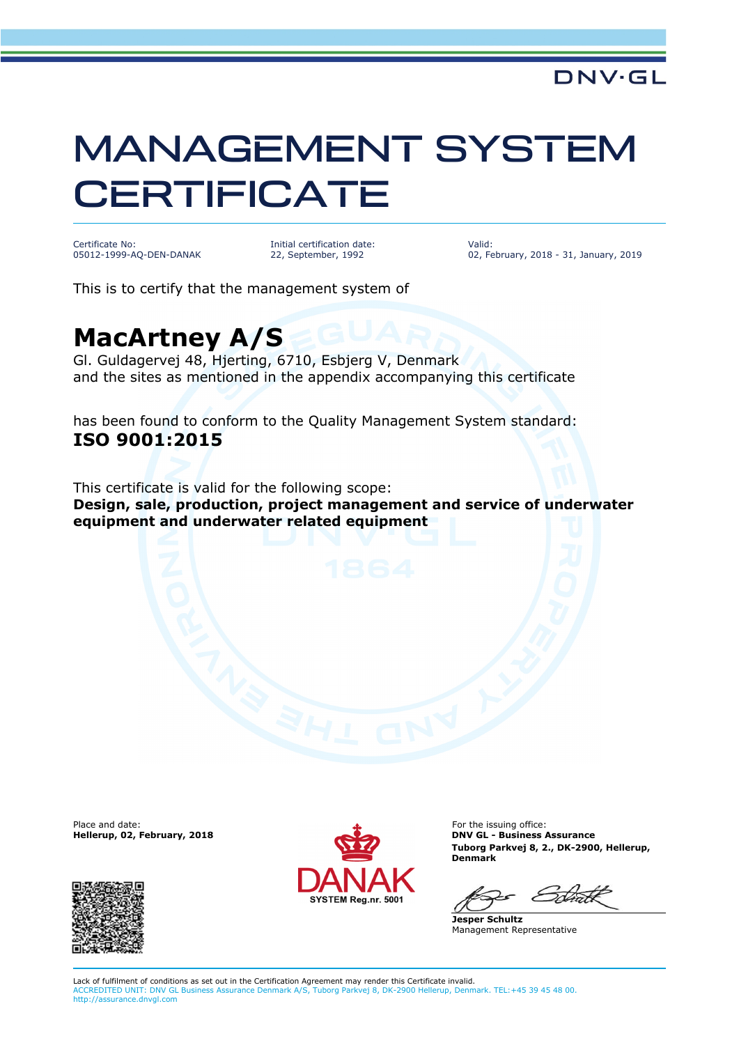## MANAGEMENT SYSTEM **CERTIFICATE**

Certificate No: 05012-1999-AQ-DEN-DANAK Initial certification date: 22, September, 1992

Valid: 02, February, 2018 - 31, January, 2019

This is to certify that the management system of

## **MacArtney A/S**

Gl. Guldagervej 48, Hjerting, 6710, Esbjerg V, Denmark and the sites as mentioned in the appendix accompanying this certificate

has been found to conform to the Quality Management System standard: **ISO 9001:2015**

This certificate is valid for the following scope: **Design, sale, production, project management and service of underwater equipment and underwater related equipment**

Place and date:<br>Hellerup, 02, February, 2018





For the issuing office: **DNV GL - Business Assurance Tuborg Parkvej 8, 2., DK-2900, Hellerup, Denmark**

**Jesper Schultz** Management Representative